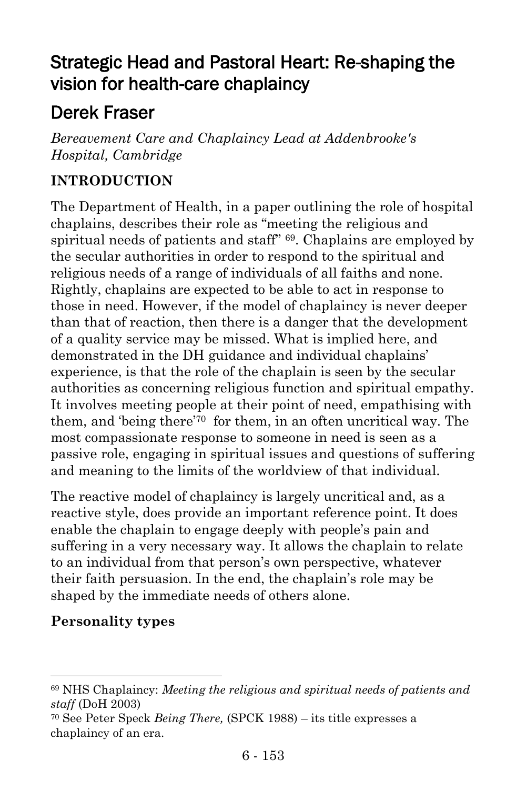# Strategic Head and Pastoral Heart: Re-shaping the vision for health-care chaplaincy

# Derek Fraser

*Bereavement Care and Chaplaincy Lead at Addenbrooke's Hospital, Cambridge*

### **INTRODUCTION**

The Department of Health, in a paper outlining the role of hospital chaplains, describes their role as "meeting the religious and spiritual needs of patients and staff" 69. Chaplains are employed by the secular authorities in order to respond to the spiritual and religious needs of a range of individuals of all faiths and none. Rightly, chaplains are expected to be able to act in response to those in need. However, if the model of chaplaincy is never deeper than that of reaction, then there is a danger that the development of a quality service may be missed. What is implied here, and demonstrated in the DH guidance and individual chaplains' experience, is that the role of the chaplain is seen by the secular authorities as concerning religious function and spiritual empathy. It involves meeting people at their point of need, empathising with them, and 'being there'<sup>70</sup> for them, in an often uncritical way. The most compassionate response to someone in need is seen as a passive role, engaging in spiritual issues and questions of suffering and meaning to the limits of the worldview of that individual.

The reactive model of chaplaincy is largely uncritical and, as a reactive style, does provide an important reference point. It does enable the chaplain to engage deeply with people's pain and suffering in a very necessary way. It allows the chaplain to relate to an individual from that person's own perspective, whatever their faith persuasion. In the end, the chaplain's role may be shaped by the immediate needs of others alone.

#### **Personality types**

l

<sup>69</sup> NHS Chaplaincy: *Meeting the religious and spiritual needs of patients and staff* (DoH 2003)

<sup>70</sup> See Peter Speck *Being There,* (SPCK 1988) – its title expresses a chaplaincy of an era.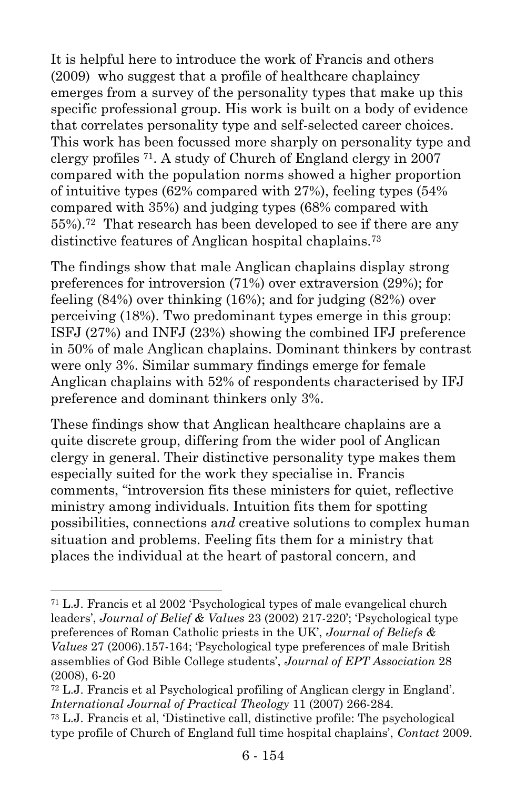It is helpful here to introduce the work of Francis and others (2009) who suggest that a profile of healthcare chaplaincy emerges from a survey of the personality types that make up this specific professional group. His work is built on a body of evidence that correlates personality type and self-selected career choices. This work has been focussed more sharply on personality type and clergy profiles 71. A study of Church of England clergy in 2007 compared with the population norms showed a higher proportion of intuitive types (62% compared with 27%), feeling types (54% compared with 35%) and judging types (68% compared with 55%).72 That research has been developed to see if there are any distinctive features of Anglican hospital chaplains.<sup>73</sup>

The findings show that male Anglican chaplains display strong preferences for introversion (71%) over extraversion (29%); for feeling (84%) over thinking (16%); and for judging (82%) over perceiving (18%). Two predominant types emerge in this group: ISFJ (27%) and INFJ (23%) showing the combined IFJ preference in 50% of male Anglican chaplains. Dominant thinkers by contrast were only 3%. Similar summary findings emerge for female Anglican chaplains with 52% of respondents characterised by IFJ preference and dominant thinkers only 3%.

These findings show that Anglican healthcare chaplains are a quite discrete group, differing from the wider pool of Anglican clergy in general. Their distinctive personality type makes them especially suited for the work they specialise in. Francis comments, "introversion fits these ministers for quiet, reflective ministry among individuals. Intuition fits them for spotting possibilities, connections a*nd* creative solutions to complex human situation and problems. Feeling fits them for a ministry that places the individual at the heart of pastoral concern, and

<sup>71</sup> L.J. Francis et al 2002 'Psychological types of male evangelical church leaders', *Journal of Belief & Values* 23 (2002) 217-220'; 'Psychological type preferences of Roman Catholic priests in the UK', *Journal of Beliefs & Values* 27 (2006).157-164; 'Psychological type preferences of male British assemblies of God Bible College students', *Journal of EPT Association* 28 (2008), 6-20

<sup>72</sup> L.J. Francis et al Psychological profiling of Anglican clergy in England'. *International Journal of Practical Theology* 11 (2007) 266-284.

<sup>73</sup> L.J. Francis et al, 'Distinctive call, distinctive profile: The psychological type profile of Church of England full time hospital chaplains', *Contact* 2009.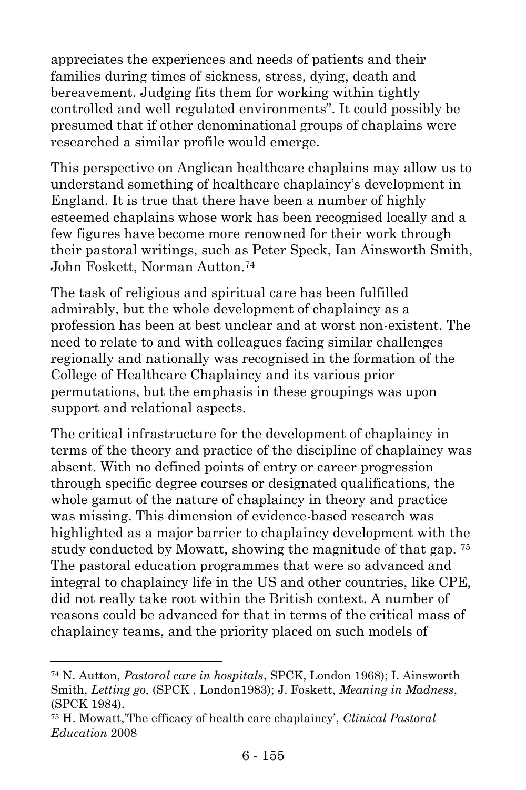appreciates the experiences and needs of patients and their families during times of sickness, stress, dying, death and bereavement. Judging fits them for working within tightly controlled and well regulated environments". It could possibly be presumed that if other denominational groups of chaplains were researched a similar profile would emerge.

This perspective on Anglican healthcare chaplains may allow us to understand something of healthcare chaplaincy's development in England. It is true that there have been a number of highly esteemed chaplains whose work has been recognised locally and a few figures have become more renowned for their work through their pastoral writings, such as Peter Speck, Ian Ainsworth Smith, John Foskett, Norman Autton.<sup>74</sup>

The task of religious and spiritual care has been fulfilled admirably, but the whole development of chaplaincy as a profession has been at best unclear and at worst non-existent. The need to relate to and with colleagues facing similar challenges regionally and nationally was recognised in the formation of the College of Healthcare Chaplaincy and its various prior permutations, but the emphasis in these groupings was upon support and relational aspects.

The critical infrastructure for the development of chaplaincy in terms of the theory and practice of the discipline of chaplaincy was absent. With no defined points of entry or career progression through specific degree courses or designated qualifications, the whole gamut of the nature of chaplaincy in theory and practice was missing. This dimension of evidence-based research was highlighted as a major barrier to chaplaincy development with the study conducted by Mowatt, showing the magnitude of that gap. <sup>75</sup> The pastoral education programmes that were so advanced and integral to chaplaincy life in the US and other countries, like CPE, did not really take root within the British context. A number of reasons could be advanced for that in terms of the critical mass of chaplaincy teams, and the priority placed on such models of

 $\overline{a}$ 

<sup>74</sup> N. Autton, *Pastoral care in hospitals*, SPCK, London 1968); I. Ainsworth Smith, *Letting go,* (SPCK , London1983); J. Foskett, *Meaning in Madness*, (SPCK 1984).

<sup>75</sup> H. Mowatt,'The efficacy of health care chaplaincy', *Clinical Pastoral Education* 2008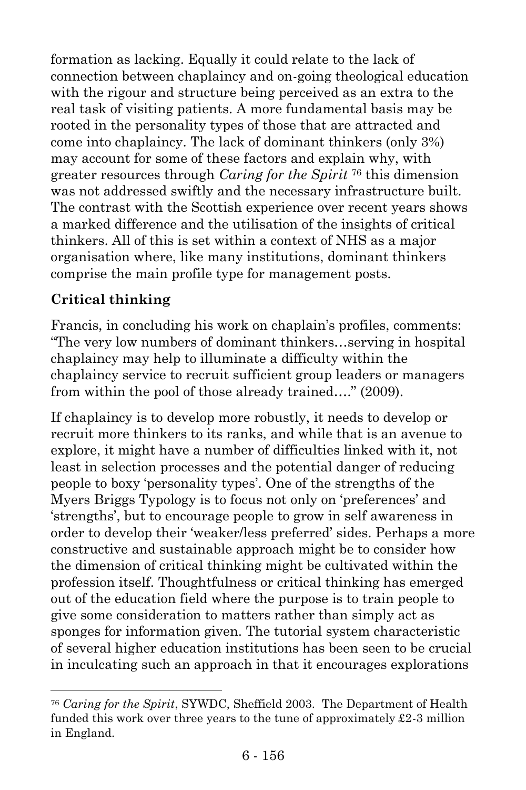formation as lacking. Equally it could relate to the lack of connection between chaplaincy and on-going theological education with the rigour and structure being perceived as an extra to the real task of visiting patients. A more fundamental basis may be rooted in the personality types of those that are attracted and come into chaplaincy. The lack of dominant thinkers (only 3%) may account for some of these factors and explain why, with greater resources through *Caring for the Spirit* <sup>76</sup> this dimension was not addressed swiftly and the necessary infrastructure built. The contrast with the Scottish experience over recent years shows a marked difference and the utilisation of the insights of critical thinkers. All of this is set within a context of NHS as a major organisation where, like many institutions, dominant thinkers comprise the main profile type for management posts.

#### **Critical thinking**

l

Francis, in concluding his work on chaplain's profiles, comments: "The very low numbers of dominant thinkers…serving in hospital chaplaincy may help to illuminate a difficulty within the chaplaincy service to recruit sufficient group leaders or managers from within the pool of those already trained…." (2009).

If chaplaincy is to develop more robustly, it needs to develop or recruit more thinkers to its ranks, and while that is an avenue to explore, it might have a number of difficulties linked with it, not least in selection processes and the potential danger of reducing people to boxy 'personality types'. One of the strengths of the Myers Briggs Typology is to focus not only on 'preferences' and 'strengths', but to encourage people to grow in self awareness in order to develop their 'weaker/less preferred' sides. Perhaps a more constructive and sustainable approach might be to consider how the dimension of critical thinking might be cultivated within the profession itself. Thoughtfulness or critical thinking has emerged out of the education field where the purpose is to train people to give some consideration to matters rather than simply act as sponges for information given. The tutorial system characteristic of several higher education institutions has been seen to be crucial in inculcating such an approach in that it encourages explorations

<sup>76</sup> *Caring for the Spirit*, SYWDC, Sheffield 2003. The Department of Health funded this work over three years to the tune of approximately  $\pounds 2$ -3 million in England.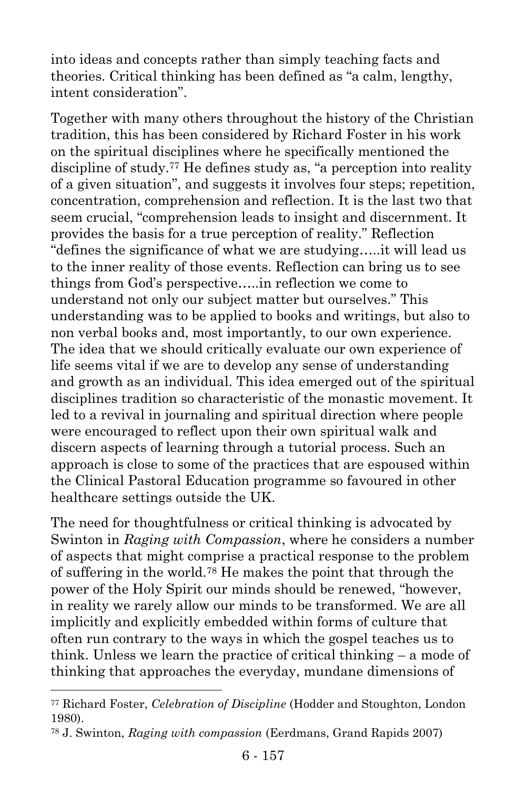into ideas and concepts rather than simply teaching facts and theories. Critical thinking has been defined as "a calm, lengthy, intent consideration".

Together with many others throughout the history of the Christian tradition, this has been considered by Richard Foster in his work on the spiritual disciplines where he specifically mentioned the discipline of study.<sup>77</sup> He defines study as, "a perception into reality of a given situation", and suggests it involves four steps; repetition, concentration, comprehension and reflection. It is the last two that seem crucial, "comprehension leads to insight and discernment. It provides the basis for a true perception of reality." Reflection "defines the significance of what we are studying…..it will lead us to the inner reality of those events. Reflection can bring us to see things from God's perspective…..in reflection we come to understand not only our subject matter but ourselves." This understanding was to be applied to books and writings, but also to non verbal books and, most importantly, to our own experience. The idea that we should critically evaluate our own experience of life seems vital if we are to develop any sense of understanding and growth as an individual. This idea emerged out of the spiritual disciplines tradition so characteristic of the monastic movement. It led to a revival in journaling and spiritual direction where people were encouraged to reflect upon their own spiritual walk and discern aspects of learning through a tutorial process. Such an approach is close to some of the practices that are espoused within the Clinical Pastoral Education programme so favoured in other healthcare settings outside the UK.

The need for thoughtfulness or critical thinking is advocated by Swinton in *Raging with Compassion*, where he considers a number of aspects that might comprise a practical response to the problem of suffering in the world.<sup>78</sup> He makes the point that through the power of the Holy Spirit our minds should be renewed, "however, in reality we rarely allow our minds to be transformed. We are all implicitly and explicitly embedded within forms of culture that often run contrary to the ways in which the gospel teaches us to think. Unless we learn the practice of critical thinking – a mode of thinking that approaches the everyday, mundane dimensions of

l

<sup>77</sup> Richard Foster, *Celebration of Discipline* (Hodder and Stoughton, London 1980).

<sup>78</sup> J. Swinton, *Raging with compassion* (Eerdmans, Grand Rapids 2007)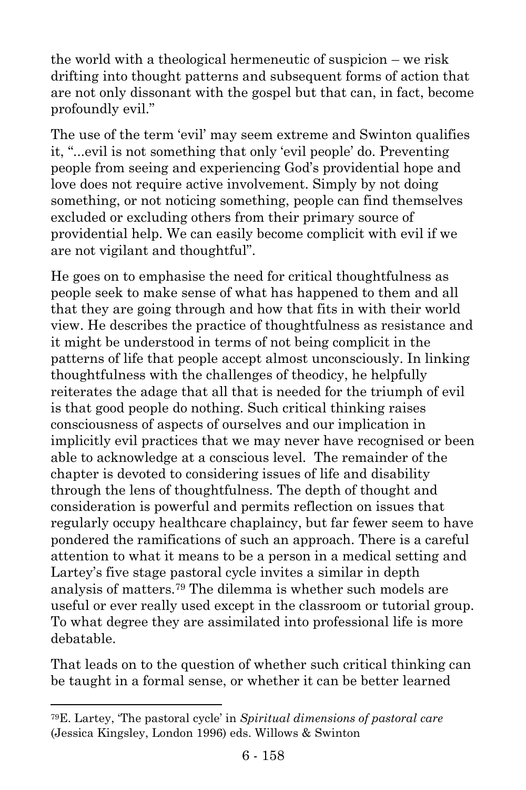the world with a theological hermeneutic of suspicion – we risk drifting into thought patterns and subsequent forms of action that are not only dissonant with the gospel but that can, in fact, become profoundly evil."

The use of the term 'evil' may seem extreme and Swinton qualifies it, "...evil is not something that only 'evil people' do. Preventing people from seeing and experiencing God's providential hope and love does not require active involvement. Simply by not doing something, or not noticing something, people can find themselves excluded or excluding others from their primary source of providential help. We can easily become complicit with evil if we are not vigilant and thoughtful".

He goes on to emphasise the need for critical thoughtfulness as people seek to make sense of what has happened to them and all that they are going through and how that fits in with their world view. He describes the practice of thoughtfulness as resistance and it might be understood in terms of not being complicit in the patterns of life that people accept almost unconsciously. In linking thoughtfulness with the challenges of theodicy, he helpfully reiterates the adage that all that is needed for the triumph of evil is that good people do nothing. Such critical thinking raises consciousness of aspects of ourselves and our implication in implicitly evil practices that we may never have recognised or been able to acknowledge at a conscious level. The remainder of the chapter is devoted to considering issues of life and disability through the lens of thoughtfulness. The depth of thought and consideration is powerful and permits reflection on issues that regularly occupy healthcare chaplaincy, but far fewer seem to have pondered the ramifications of such an approach. There is a careful attention to what it means to be a person in a medical setting and Lartey's five stage pastoral cycle invites a similar in depth analysis of matters.<sup>79</sup> The dilemma is whether such models are useful or ever really used except in the classroom or tutorial group. To what degree they are assimilated into professional life is more debatable.

That leads on to the question of whether such critical thinking can be taught in a formal sense, or whether it can be better learned

l

<sup>79</sup>E. Lartey, 'The pastoral cycle' in *Spiritual dimensions of pastoral care* (Jessica Kingsley, London 1996) eds. Willows & Swinton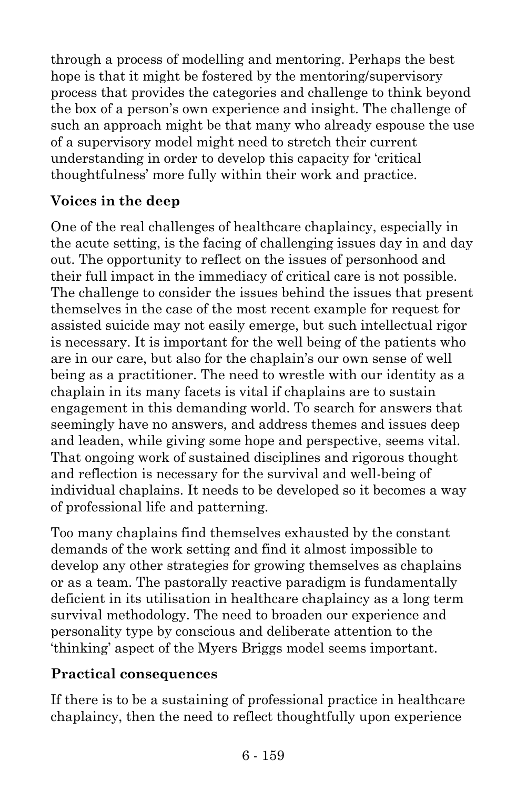through a process of modelling and mentoring. Perhaps the best hope is that it might be fostered by the mentoring/supervisory process that provides the categories and challenge to think beyond the box of a person's own experience and insight. The challenge of such an approach might be that many who already espouse the use of a supervisory model might need to stretch their current understanding in order to develop this capacity for 'critical thoughtfulness' more fully within their work and practice.

#### **Voices in the deep**

One of the real challenges of healthcare chaplaincy, especially in the acute setting, is the facing of challenging issues day in and day out. The opportunity to reflect on the issues of personhood and their full impact in the immediacy of critical care is not possible. The challenge to consider the issues behind the issues that present themselves in the case of the most recent example for request for assisted suicide may not easily emerge, but such intellectual rigor is necessary. It is important for the well being of the patients who are in our care, but also for the chaplain's our own sense of well being as a practitioner. The need to wrestle with our identity as a chaplain in its many facets is vital if chaplains are to sustain engagement in this demanding world. To search for answers that seemingly have no answers, and address themes and issues deep and leaden, while giving some hope and perspective, seems vital. That ongoing work of sustained disciplines and rigorous thought and reflection is necessary for the survival and well-being of individual chaplains. It needs to be developed so it becomes a way of professional life and patterning.

Too many chaplains find themselves exhausted by the constant demands of the work setting and find it almost impossible to develop any other strategies for growing themselves as chaplains or as a team. The pastorally reactive paradigm is fundamentally deficient in its utilisation in healthcare chaplaincy as a long term survival methodology. The need to broaden our experience and personality type by conscious and deliberate attention to the 'thinking' aspect of the Myers Briggs model seems important.

#### **Practical consequences**

If there is to be a sustaining of professional practice in healthcare chaplaincy, then the need to reflect thoughtfully upon experience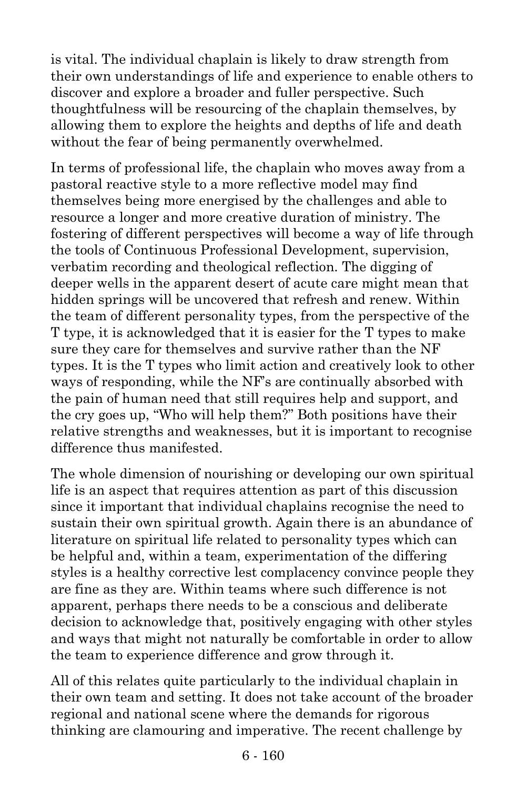is vital. The individual chaplain is likely to draw strength from their own understandings of life and experience to enable others to discover and explore a broader and fuller perspective. Such thoughtfulness will be resourcing of the chaplain themselves, by allowing them to explore the heights and depths of life and death without the fear of being permanently overwhelmed.

In terms of professional life, the chaplain who moves away from a pastoral reactive style to a more reflective model may find themselves being more energised by the challenges and able to resource a longer and more creative duration of ministry. The fostering of different perspectives will become a way of life through the tools of Continuous Professional Development, supervision, verbatim recording and theological reflection. The digging of deeper wells in the apparent desert of acute care might mean that hidden springs will be uncovered that refresh and renew. Within the team of different personality types, from the perspective of the T type, it is acknowledged that it is easier for the T types to make sure they care for themselves and survive rather than the NF types. It is the T types who limit action and creatively look to other ways of responding, while the NF's are continually absorbed with the pain of human need that still requires help and support, and the cry goes up, "Who will help them?" Both positions have their relative strengths and weaknesses, but it is important to recognise difference thus manifested.

The whole dimension of nourishing or developing our own spiritual life is an aspect that requires attention as part of this discussion since it important that individual chaplains recognise the need to sustain their own spiritual growth. Again there is an abundance of literature on spiritual life related to personality types which can be helpful and, within a team, experimentation of the differing styles is a healthy corrective lest complacency convince people they are fine as they are. Within teams where such difference is not apparent, perhaps there needs to be a conscious and deliberate decision to acknowledge that, positively engaging with other styles and ways that might not naturally be comfortable in order to allow the team to experience difference and grow through it.

All of this relates quite particularly to the individual chaplain in their own team and setting. It does not take account of the broader regional and national scene where the demands for rigorous thinking are clamouring and imperative. The recent challenge by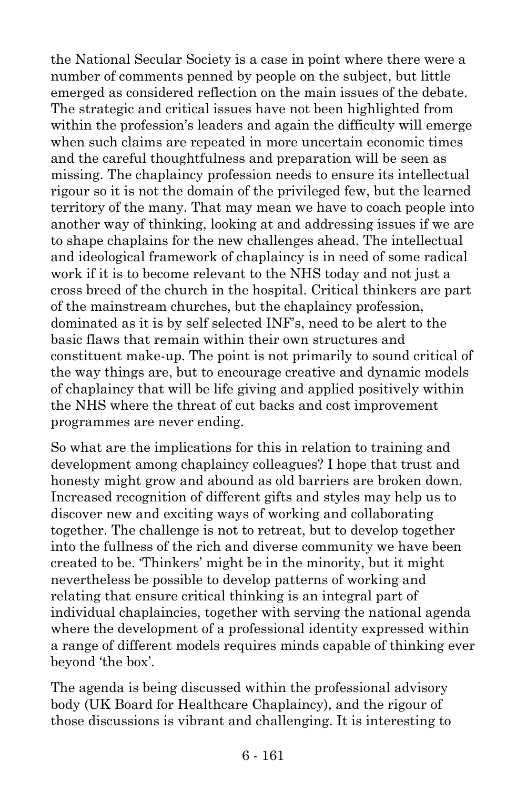the National Secular Society is a case in point where there were a number of comments penned by people on the subject, but little emerged as considered reflection on the main issues of the debate. The strategic and critical issues have not been highlighted from within the profession's leaders and again the difficulty will emerge when such claims are repeated in more uncertain economic times and the careful thoughtfulness and preparation will be seen as missing. The chaplaincy profession needs to ensure its intellectual rigour so it is not the domain of the privileged few, but the learned territory of the many. That may mean we have to coach people into another way of thinking, looking at and addressing issues if we are to shape chaplains for the new challenges ahead. The intellectual and ideological framework of chaplaincy is in need of some radical work if it is to become relevant to the NHS today and not just a cross breed of the church in the hospital. Critical thinkers are part of the mainstream churches, but the chaplaincy profession, dominated as it is by self selected INF's, need to be alert to the basic flaws that remain within their own structures and constituent make-up. The point is not primarily to sound critical of the way things are, but to encourage creative and dynamic models of chaplaincy that will be life giving and applied positively within the NHS where the threat of cut backs and cost improvement programmes are never ending.

So what are the implications for this in relation to training and development among chaplaincy colleagues? I hope that trust and honesty might grow and abound as old barriers are broken down. Increased recognition of different gifts and styles may help us to discover new and exciting ways of working and collaborating together. The challenge is not to retreat, but to develop together into the fullness of the rich and diverse community we have been created to be. 'Thinkers' might be in the minority, but it might nevertheless be possible to develop patterns of working and relating that ensure critical thinking is an integral part of individual chaplaincies, together with serving the national agenda where the development of a professional identity expressed within a range of different models requires minds capable of thinking ever beyond 'the box'.

The agenda is being discussed within the professional advisory body (UK Board for Healthcare Chaplaincy), and the rigour of those discussions is vibrant and challenging. It is interesting to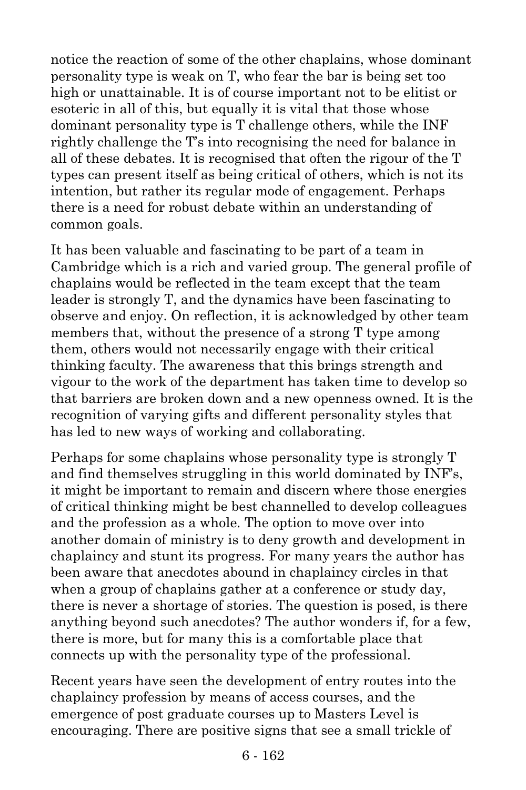notice the reaction of some of the other chaplains, whose dominant personality type is weak on T, who fear the bar is being set too high or unattainable. It is of course important not to be elitist or esoteric in all of this, but equally it is vital that those whose dominant personality type is T challenge others, while the INF rightly challenge the T's into recognising the need for balance in all of these debates. It is recognised that often the rigour of the T types can present itself as being critical of others, which is not its intention, but rather its regular mode of engagement. Perhaps there is a need for robust debate within an understanding of common goals.

It has been valuable and fascinating to be part of a team in Cambridge which is a rich and varied group. The general profile of chaplains would be reflected in the team except that the team leader is strongly T, and the dynamics have been fascinating to observe and enjoy. On reflection, it is acknowledged by other team members that, without the presence of a strong T type among them, others would not necessarily engage with their critical thinking faculty. The awareness that this brings strength and vigour to the work of the department has taken time to develop so that barriers are broken down and a new openness owned. It is the recognition of varying gifts and different personality styles that has led to new ways of working and collaborating.

Perhaps for some chaplains whose personality type is strongly T and find themselves struggling in this world dominated by INF's, it might be important to remain and discern where those energies of critical thinking might be best channelled to develop colleagues and the profession as a whole. The option to move over into another domain of ministry is to deny growth and development in chaplaincy and stunt its progress. For many years the author has been aware that anecdotes abound in chaplaincy circles in that when a group of chaplains gather at a conference or study day, there is never a shortage of stories. The question is posed, is there anything beyond such anecdotes? The author wonders if, for a few, there is more, but for many this is a comfortable place that connects up with the personality type of the professional.

Recent years have seen the development of entry routes into the chaplaincy profession by means of access courses, and the emergence of post graduate courses up to Masters Level is encouraging. There are positive signs that see a small trickle of